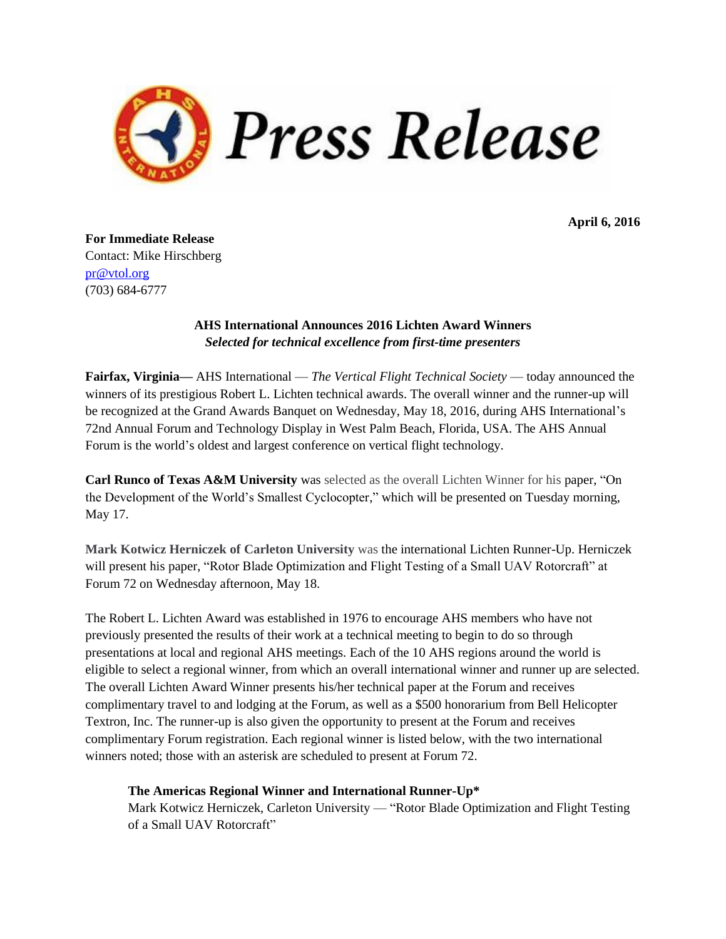

**April 6, 2016**

**For Immediate Release** Contact: Mike Hirschberg [pr@vtol.org](mailto:pr@vtol.org?subject=AHS%20Awards) (703) 684-6777

# **AHS International Announces 2016 Lichten Award Winners** *Selected for technical excellence from first-time presenters*

**Fairfax, Virginia—** AHS International — *The Vertical Flight Technical Society* — today announced the winners of its prestigious Robert L. Lichten technical awards. The overall winner and the runner-up will be recognized at the Grand Awards Banquet on Wednesday, May 18, 2016, during AHS International's 72nd Annual Forum and Technology Display in West Palm Beach, Florida, USA. The AHS Annual Forum is the world's oldest and largest conference on vertical flight technology.

**Carl Runco of Texas A&M University** was selected as the overall Lichten Winner for his paper, "On the Development of the World's Smallest Cyclocopter," which will be presented on Tuesday morning, May 17.

**Mark Kotwicz Herniczek of Carleton University** was the international Lichten Runner-Up. Herniczek will present his paper, "Rotor Blade Optimization and Flight Testing of a Small UAV Rotorcraft" at Forum 72 on Wednesday afternoon, May 18.

The Robert L. Lichten Award was established in 1976 to encourage AHS members who have not previously presented the results of their work at a technical meeting to begin to do so through presentations at local and regional AHS meetings. Each of the 10 AHS regions around the world is eligible to select a regional winner, from which an overall international winner and runner up are selected. The overall Lichten Award Winner presents his/her technical paper at the Forum and receives complimentary travel to and lodging at the Forum, as well as a \$500 honorarium from Bell Helicopter Textron, Inc. The runner-up is also given the opportunity to present at the Forum and receives complimentary Forum registration. Each regional winner is listed below, with the two international winners noted; those with an asterisk are scheduled to present at Forum 72.

# **The Americas Regional Winner and International Runner-Up\***

Mark Kotwicz Herniczek, Carleton University — "Rotor Blade Optimization and Flight Testing of a Small UAV Rotorcraft"